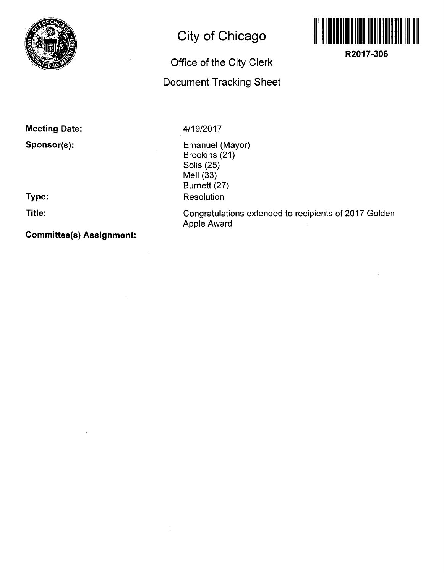

## **City of Chicago**

### Office of the City Clerk

#### Document Tracking Sheet



**R2017-306** 

**Meeting Date:** 

**Sponsor(s):** 

**Type:** 

**Title:** 

**Committee(s) Assignment:** 

**4/19/2017** 

÷,

Emanuel (Mayor) Brookins (21) Solis (25) Mell (33) Burnett (27) Resolution

Congratulations extended to recipients of 2017 Golden Apple Award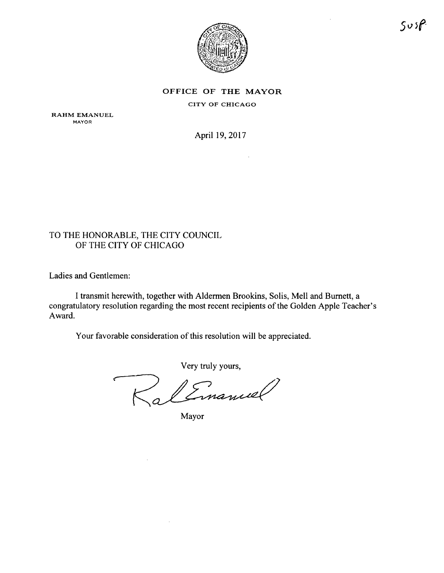

OFFICE OF THE MAYOR

CITY OF CHICAGO

RAHM EMANUEL MAYOR

April 19,2017

#### TO THE HONORABLE, THE CITY COUNCIL OF THE CITY OF CHICAGO

Ladies and Gentlemen:

I transmit herewith, together with Aldermen Brookins, Solis, Mell and Burnett, a congratulatory resolution regarding the most recent recipients of the Golden Apple Teacher's Award.

Your favorable consideration of this resolution will be appreciated.

Very truly yours,

Emanuel

Mayor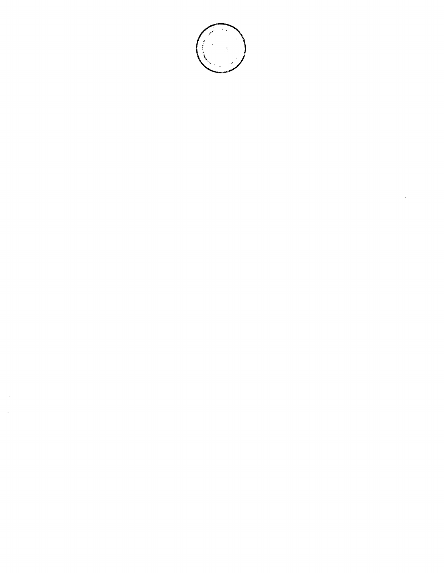

 $\cdot$ 

÷.

 $\epsilon$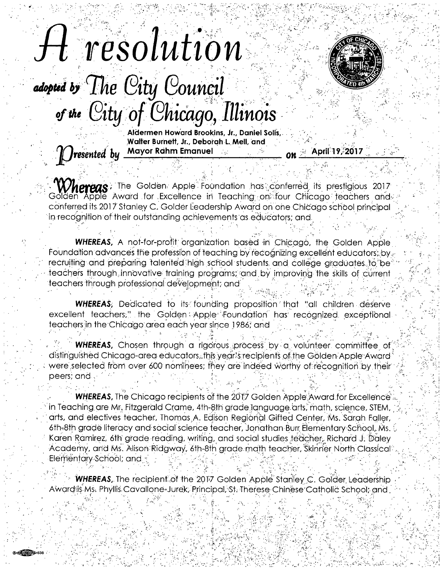# H resolution

adopted by The City Council



of the City of Chicago, Illinois ldermen Howard Brookins, Jr., Daniel Solis. Walter Burnett, Jr., Deborah L. Mell, and **T**resented by **Mayor Rahm Emanuel**  $\sim 10^7$ 

**On** 2 April 19, 2017

Whereas: The Golden Apple Foundation has conferred its prestigious 2017 Golden Apple Award for Excellence in Teaching on four Chicago teachers and conferred its 2017 Stanley C. Golder Leadership Award on one Chicago school principal in recognition of their outstanding achievements as educators; and

**WHEREAS,** A not-for-profit organization based in Chicago, the Golden Apple Foundation advances the profession of teaching by recognizing excellent educators; by  $_\odot$ recruiting and preparing talented high school students and college graduates to be teachers through innovative training programs; and by improving the skills of current teachers through professional development; and

**WHEREAS**, Dedicated to its founding proposition that "all children deserve excellent teachers," the Golden Apple Foundation has recognized exceptional teachers in the Chicago area each year since 1986; and

**WHEREAS,** Chosen through a rigorous process by a volunteer committee of distinguished Chicago-area educators, this year strecipients of the Golden Apple Award were selected from over 600 nominees; they are indeed worthy of recognition by their peers; and

**WHEREAS**, The Chicago recipients of the 2017 Golden Apple Award for Excellence in Teaching are Mr. Fitzgerald Crame, 4th-8th grade language arts, math, science, STEM, arts, and electives teacher, Thomas A. Edison Regional Gifted Center, Ms. Sarah Faller, 6th-8th grade literacy and social science teacher, Jonathan Burr Elementary School, Ms. Karen Ramirez, 6th grade reading, writing, and social studies teacher, Richard J. Daley Academy, and Ms. Alison Ridgway, 6th-8th grade math teacher, Skinner North Classical Elementary School; and

**WHEREAS**, The recipient of the 2017 Golden Apple Stanley C. Golder Leadership Award is Ms. Phyllis Cavallone-Jurek, Principal, St. Therese Chinese Catholic School, and